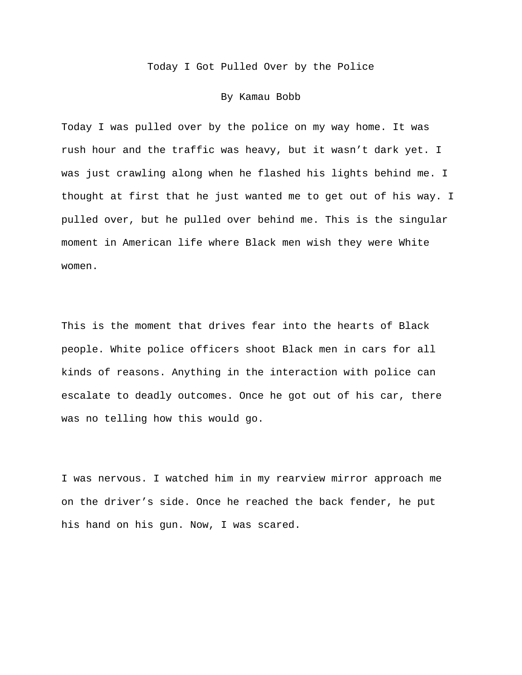Today I Got Pulled Over by the Police

## By Kamau Bobb

Today I was pulled over by the police on my way home. It was rush hour and the traffic was heavy, but it wasn't dark yet. I was just crawling along when he flashed his lights behind me. I thought at first that he just wanted me to get out of his way. I pulled over, but he pulled over behind me. This is the singular moment in American life where Black men wish they were White women.

This is the moment that drives fear into the hearts of Black people. White police officers shoot Black men in cars for all kinds of reasons. Anything in the interaction with police can escalate to deadly outcomes. Once he got out of his car, there was no telling how this would go.

I was nervous. I watched him in my rearview mirror approach me on the driver's side. Once he reached the back fender, he put his hand on his gun. Now, I was scared.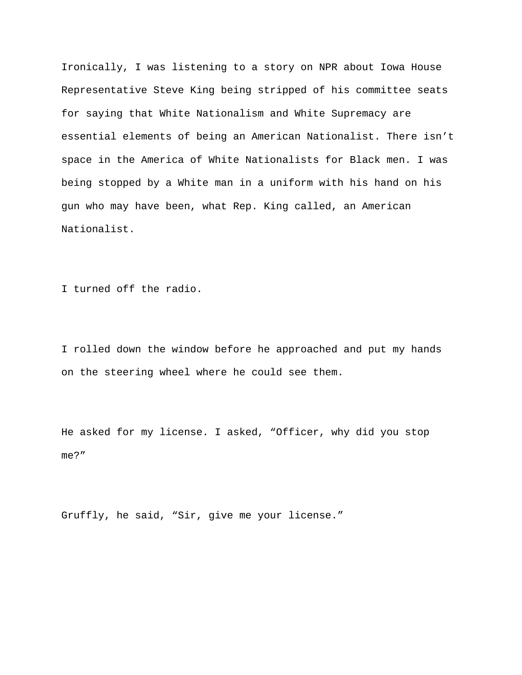Ironically, I was listening to a story on NPR about Iowa House Representative Steve King being stripped of his committee seats for saying that White Nationalism and White Supremacy are essential elements of being an American Nationalist. There isn't space in the America of White Nationalists for Black men. I was being stopped by a White man in a uniform with his hand on his gun who may have been, what Rep. King called, an American Nationalist.

I turned off the radio.

I rolled down the window before he approached and put my hands on the steering wheel where he could see them.

He asked for my license. I asked, "Officer, why did you stop me?"

Gruffly, he said, "Sir, give me your license."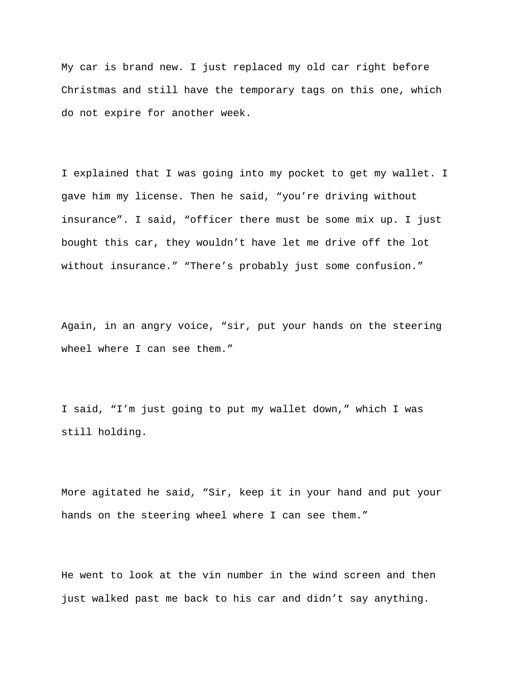My car is brand new. I just replaced my old car right before Christmas and still have the temporary tags on this one, which do not expire for another week.

I explained that I was going into my pocket to get my wallet. I gave him my license. Then he said, "you're driving without insurance". I said, "officer there must be some mix up. I just bought this car, they wouldn't have let me drive off the lot without insurance." "There's probably just some confusion."

Again, in an angry voice, "sir, put your hands on the steering wheel where I can see them."

I said, "I'm just going to put my wallet down," which I was still holding.

More agitated he said, "Sir, keep it in your hand and put your hands on the steering wheel where I can see them."

He went to look at the vin number in the wind screen and then just walked past me back to his car and didn't say anything.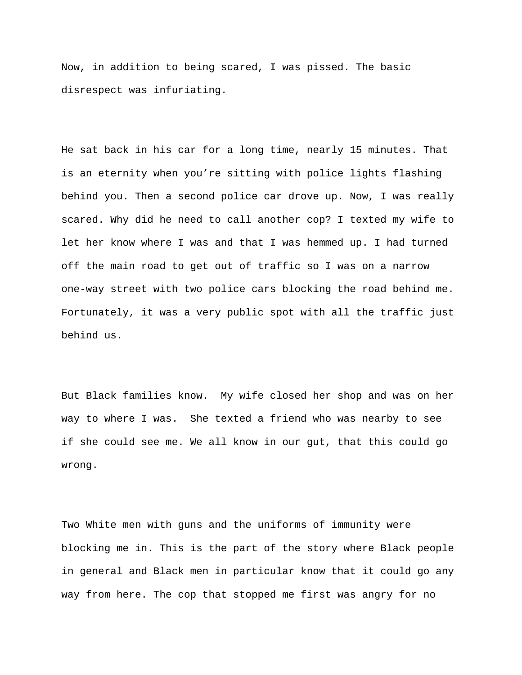Now, in addition to being scared, I was pissed. The basic disrespect was infuriating.

He sat back in his car for a long time, nearly 15 minutes. That is an eternity when you're sitting with police lights flashing behind you. Then a second police car drove up. Now, I was really scared. Why did he need to call another cop? I texted my wife to let her know where I was and that I was hemmed up. I had turned off the main road to get out of traffic so I was on a narrow one-way street with two police cars blocking the road behind me. Fortunately, it was a very public spot with all the traffic just behind us.

But Black families know. My wife closed her shop and was on her way to where I was. She texted a friend who was nearby to see if she could see me. We all know in our gut, that this could go wrong.

Two White men with guns and the uniforms of immunity were blocking me in. This is the part of the story where Black people in general and Black men in particular know that it could go any way from here. The cop that stopped me first was angry for no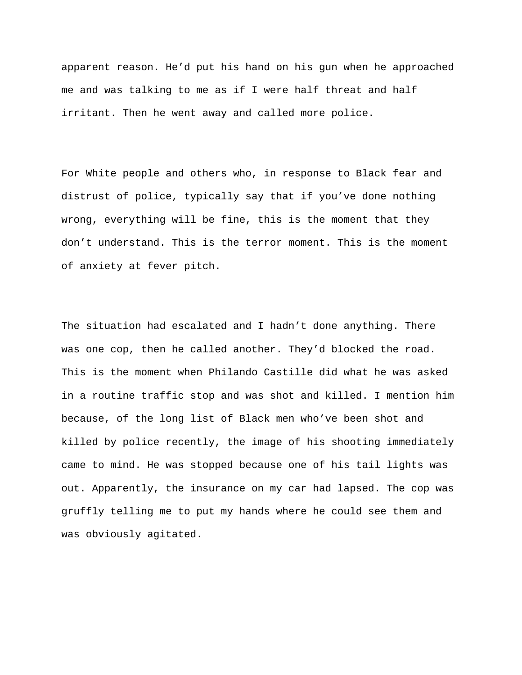apparent reason. He'd put his hand on his gun when he approached me and was talking to me as if I were half threat and half irritant. Then he went away and called more police.

For White people and others who, in response to Black fear and distrust of police, typically say that if you've done nothing wrong, everything will be fine, this is the moment that they don't understand. This is the terror moment. This is the moment of anxiety at fever pitch.

The situation had escalated and I hadn't done anything. There was one cop, then he called another. They'd blocked the road. This is the moment when Philando Castille did what he was asked in a routine traffic stop and was shot and killed. I mention him because, of the long list of Black men who've been shot and killed by police recently, the image of his shooting immediately came to mind. He was stopped because one of his tail lights was out. Apparently, the insurance on my car had lapsed. The cop was gruffly telling me to put my hands where he could see them and was obviously agitated.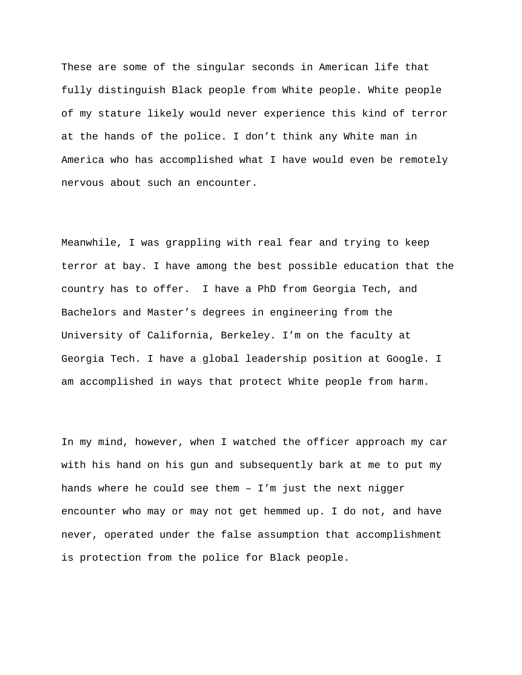These are some of the singular seconds in American life that fully distinguish Black people from White people. White people of my stature likely would never experience this kind of terror at the hands of the police. I don't think any White man in America who has accomplished what I have would even be remotely nervous about such an encounter.

Meanwhile, I was grappling with real fear and trying to keep terror at bay. I have among the best possible education that the country has to offer. I have a PhD from Georgia Tech, and Bachelors and Master's degrees in engineering from the University of California, Berkeley. I'm on the faculty at Georgia Tech. I have a global leadership position at Google. I am accomplished in ways that protect White people from harm.

In my mind, however, when I watched the officer approach my car with his hand on his gun and subsequently bark at me to put my hands where he could see them  $-$  I'm just the next nigger encounter who may or may not get hemmed up. I do not, and have never, operated under the false assumption that accomplishment is protection from the police for Black people.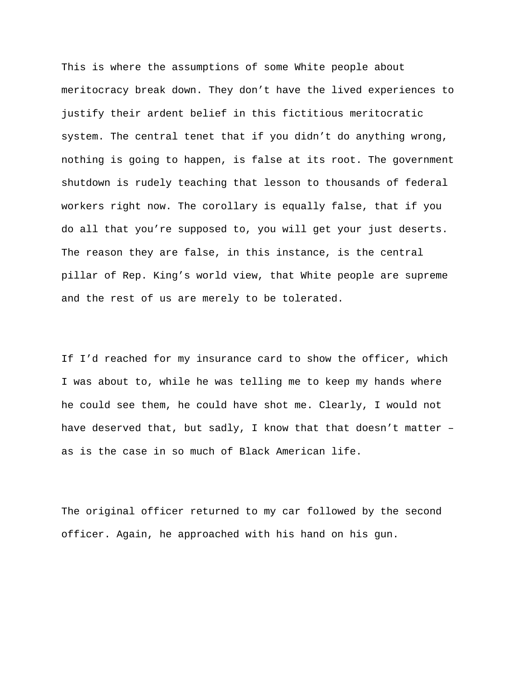This is where the assumptions of some White people about meritocracy break down. They don't have the lived experiences to justify their ardent belief in this fictitious meritocratic system. The central tenet that if you didn't do anything wrong, nothing is going to happen, is false at its root. The government shutdown is rudely teaching that lesson to thousands of federal workers right now. The corollary is equally false, that if you do all that you're supposed to, you will get your just deserts. The reason they are false, in this instance, is the central pillar of Rep. King's world view, that White people are supreme and the rest of us are merely to be tolerated.

If I'd reached for my insurance card to show the officer, which I was about to, while he was telling me to keep my hands where he could see them, he could have shot me. Clearly, I would not have deserved that, but sadly, I know that that doesn't matter – as is the case in so much of Black American life.

The original officer returned to my car followed by the second officer. Again, he approached with his hand on his gun.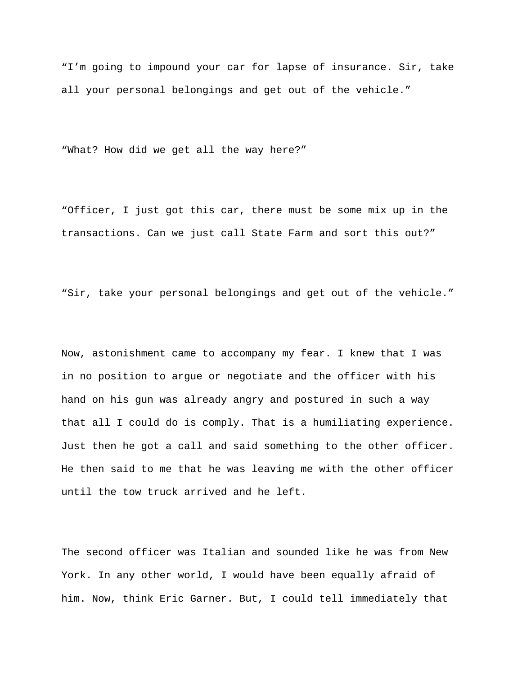"I'm going to impound your car for lapse of insurance. Sir, take all your personal belongings and get out of the vehicle."

"What? How did we get all the way here?"

"Officer, I just got this car, there must be some mix up in the transactions. Can we just call State Farm and sort this out?"

"Sir, take your personal belongings and get out of the vehicle."

Now, astonishment came to accompany my fear. I knew that I was in no position to argue or negotiate and the officer with his hand on his gun was already angry and postured in such a way that all I could do is comply. That is a humiliating experience. Just then he got a call and said something to the other officer. He then said to me that he was leaving me with the other officer until the tow truck arrived and he left.

The second officer was Italian and sounded like he was from New York. In any other world, I would have been equally afraid of him. Now, think Eric Garner. But, I could tell immediately that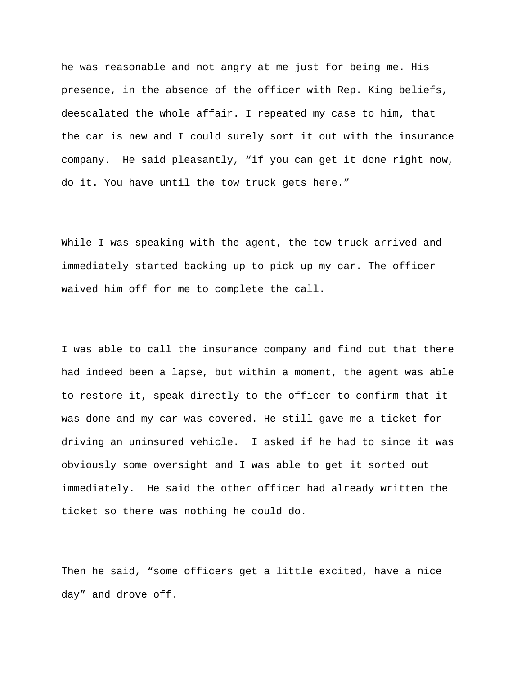he was reasonable and not angry at me just for being me. His presence, in the absence of the officer with Rep. King beliefs, deescalated the whole affair. I repeated my case to him, that the car is new and I could surely sort it out with the insurance company. He said pleasantly, "if you can get it done right now, do it. You have until the tow truck gets here."

While I was speaking with the agent, the tow truck arrived and immediately started backing up to pick up my car. The officer waived him off for me to complete the call.

I was able to call the insurance company and find out that there had indeed been a lapse, but within a moment, the agent was able to restore it, speak directly to the officer to confirm that it was done and my car was covered. He still gave me a ticket for driving an uninsured vehicle. I asked if he had to since it was obviously some oversight and I was able to get it sorted out immediately. He said the other officer had already written the ticket so there was nothing he could do.

Then he said, "some officers get a little excited, have a nice day" and drove off.